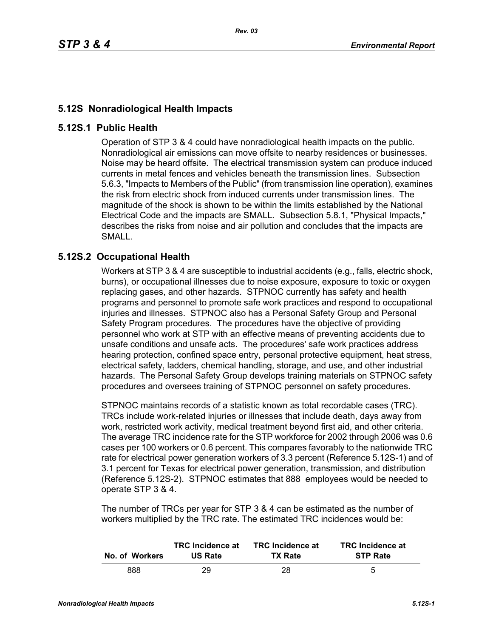## **5.12S Nonradiological Health Impacts**

## **5.12S.1 Public Health**

Operation of STP 3 & 4 could have nonradiological health impacts on the public. Nonradiological air emissions can move offsite to nearby residences or businesses. Noise may be heard offsite. The electrical transmission system can produce induced currents in metal fences and vehicles beneath the transmission lines. Subsection 5.6.3, "Impacts to Members of the Public" (from transmission line operation), examines the risk from electric shock from induced currents under transmission lines. The magnitude of the shock is shown to be within the limits established by the National Electrical Code and the impacts are SMALL. Subsection 5.8.1, "Physical Impacts," describes the risks from noise and air pollution and concludes that the impacts are SMALL.

## **5.12S.2 Occupational Health**

Workers at STP 3 & 4 are susceptible to industrial accidents (e.g., falls, electric shock, burns), or occupational illnesses due to noise exposure, exposure to toxic or oxygen replacing gases, and other hazards. STPNOC currently has safety and health programs and personnel to promote safe work practices and respond to occupational injuries and illnesses. STPNOC also has a Personal Safety Group and Personal Safety Program procedures. The procedures have the objective of providing personnel who work at STP with an effective means of preventing accidents due to unsafe conditions and unsafe acts. The procedures' safe work practices address hearing protection, confined space entry, personal protective equipment, heat stress, electrical safety, ladders, chemical handling, storage, and use, and other industrial hazards. The Personal Safety Group develops training materials on STPNOC safety procedures and oversees training of STPNOC personnel on safety procedures.

STPNOC maintains records of a statistic known as total recordable cases (TRC). TRCs include work-related injuries or illnesses that include death, days away from work, restricted work activity, medical treatment beyond first aid, and other criteria. The average TRC incidence rate for the STP workforce for 2002 through 2006 was 0.6 cases per 100 workers or 0.6 percent. This compares favorably to the nationwide TRC rate for electrical power generation workers of 3.3 percent (Reference 5.12S-1) and of 3.1 percent for Texas for electrical power generation, transmission, and distribution (Reference 5.12S-2). STPNOC estimates that 888 employees would be needed to operate STP 3 & 4.

The number of TRCs per year for STP 3 & 4 can be estimated as the number of workers multiplied by the TRC rate. The estimated TRC incidences would be:

| No. of Workers | <b>TRC</b> Incidence at | <b>TRC</b> Incidence at | <b>TRC</b> Incidence at |
|----------------|-------------------------|-------------------------|-------------------------|
|                | <b>US Rate</b>          | <b>TX Rate</b>          | <b>STP Rate</b>         |
| 888            | 29                      | 28                      | 5                       |